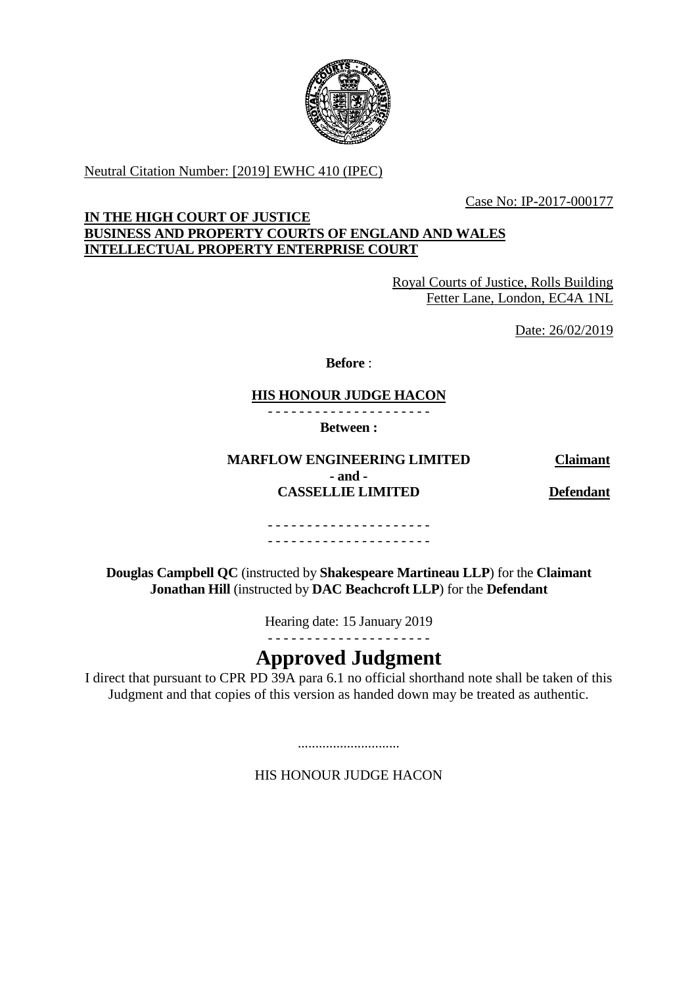

Neutral Citation Number: [2019] EWHC 410 (IPEC)

Case No: IP-2017-000177

# **IN THE HIGH COURT OF JUSTICE BUSINESS AND PROPERTY COURTS OF ENGLAND AND WALES INTELLECTUAL PROPERTY ENTERPRISE COURT**

Royal Courts of Justice, Rolls Building Fetter Lane, London, EC4A 1NL

Date: 26/02/2019

**Before** :

# **HIS HONOUR JUDGE HACON**

- - - - - - - - - - - - - - - - - - - - -

**Between :**

**MARFLOW ENGINEERING LIMITED Claimant - and - CASSELLIE LIMITED Defendant**

- - - - - - - - - - - - - - - - - - - - - - - - - - - - - - - - - - - - - - - - - -

**Douglas Campbell QC** (instructed by **Shakespeare Martineau LLP**) for the **Claimant Jonathan Hill** (instructed by **DAC Beachcroft LLP**) for the **Defendant**

Hearing date: 15 January 2019

- - - - - - - - - - - - - - - - - - - - -

# **Approved Judgment**

I direct that pursuant to CPR PD 39A para 6.1 no official shorthand note shall be taken of this Judgment and that copies of this version as handed down may be treated as authentic.

.............................

HIS HONOUR JUDGE HACON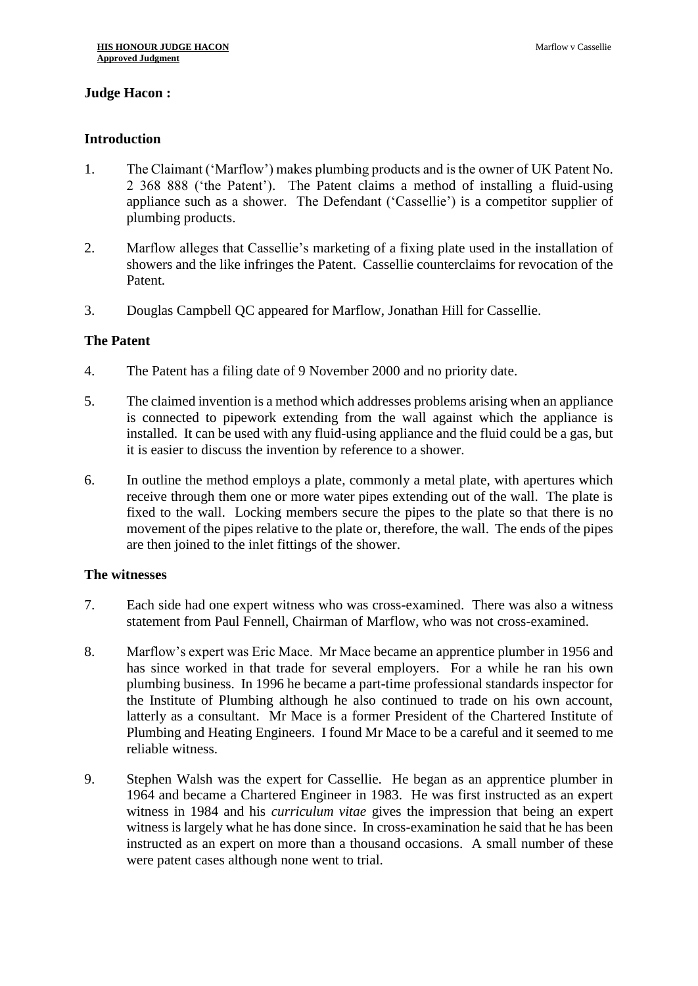# **Judge Hacon :**

## **Introduction**

- 1. The Claimant ('Marflow') makes plumbing products and is the owner of UK Patent No. 2 368 888 ('the Patent'). The Patent claims a method of installing a fluid-using appliance such as a shower. The Defendant ('Cassellie') is a competitor supplier of plumbing products.
- 2. Marflow alleges that Cassellie's marketing of a fixing plate used in the installation of showers and the like infringes the Patent. Cassellie counterclaims for revocation of the Patent.
- 3. Douglas Campbell QC appeared for Marflow, Jonathan Hill for Cassellie.

# **The Patent**

- 4. The Patent has a filing date of 9 November 2000 and no priority date.
- 5. The claimed invention is a method which addresses problems arising when an appliance is connected to pipework extending from the wall against which the appliance is installed. It can be used with any fluid-using appliance and the fluid could be a gas, but it is easier to discuss the invention by reference to a shower.
- 6. In outline the method employs a plate, commonly a metal plate, with apertures which receive through them one or more water pipes extending out of the wall. The plate is fixed to the wall. Locking members secure the pipes to the plate so that there is no movement of the pipes relative to the plate or, therefore, the wall. The ends of the pipes are then joined to the inlet fittings of the shower.

#### **The witnesses**

- 7. Each side had one expert witness who was cross-examined. There was also a witness statement from Paul Fennell, Chairman of Marflow, who was not cross-examined.
- 8. Marflow's expert was Eric Mace. Mr Mace became an apprentice plumber in 1956 and has since worked in that trade for several employers. For a while he ran his own plumbing business. In 1996 he became a part-time professional standards inspector for the Institute of Plumbing although he also continued to trade on his own account, latterly as a consultant. Mr Mace is a former President of the Chartered Institute of Plumbing and Heating Engineers. I found Mr Mace to be a careful and it seemed to me reliable witness.
- 9. Stephen Walsh was the expert for Cassellie. He began as an apprentice plumber in 1964 and became a Chartered Engineer in 1983. He was first instructed as an expert witness in 1984 and his *curriculum vitae* gives the impression that being an expert witness is largely what he has done since. In cross-examination he said that he has been instructed as an expert on more than a thousand occasions. A small number of these were patent cases although none went to trial.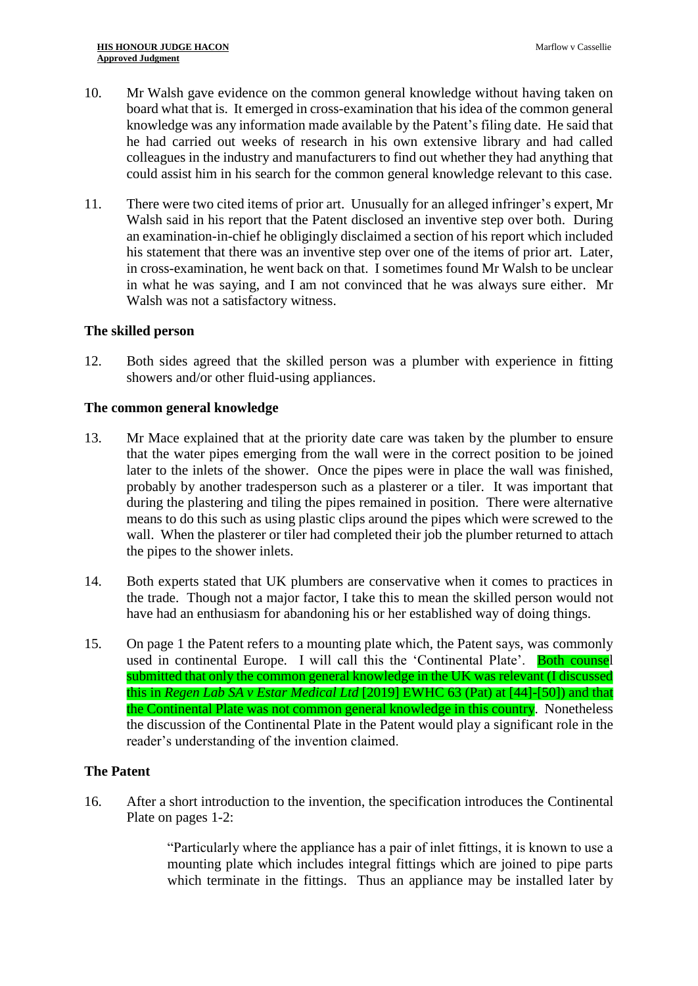- 10. Mr Walsh gave evidence on the common general knowledge without having taken on board what that is. It emerged in cross-examination that his idea of the common general knowledge was any information made available by the Patent's filing date. He said that he had carried out weeks of research in his own extensive library and had called colleagues in the industry and manufacturers to find out whether they had anything that could assist him in his search for the common general knowledge relevant to this case.
- 11. There were two cited items of prior art. Unusually for an alleged infringer's expert, Mr Walsh said in his report that the Patent disclosed an inventive step over both. During an examination-in-chief he obligingly disclaimed a section of his report which included his statement that there was an inventive step over one of the items of prior art. Later, in cross-examination, he went back on that. I sometimes found Mr Walsh to be unclear in what he was saying, and I am not convinced that he was always sure either. Mr Walsh was not a satisfactory witness.

#### **The skilled person**

12. Both sides agreed that the skilled person was a plumber with experience in fitting showers and/or other fluid-using appliances.

#### **The common general knowledge**

- 13. Mr Mace explained that at the priority date care was taken by the plumber to ensure that the water pipes emerging from the wall were in the correct position to be joined later to the inlets of the shower. Once the pipes were in place the wall was finished, probably by another tradesperson such as a plasterer or a tiler. It was important that during the plastering and tiling the pipes remained in position. There were alternative means to do this such as using plastic clips around the pipes which were screwed to the wall. When the plasterer or tiler had completed their job the plumber returned to attach the pipes to the shower inlets.
- 14. Both experts stated that UK plumbers are conservative when it comes to practices in the trade. Though not a major factor, I take this to mean the skilled person would not have had an enthusiasm for abandoning his or her established way of doing things.
- 15. On page 1 the Patent refers to a mounting plate which, the Patent says, was commonly used in continental Europe. I will call this the 'Continental Plate'. Both counsel submitted that only the common general knowledge in the UK was relevant (I discussed this in *Regen Lab SA v Estar Medical Ltd* [2019] EWHC 63 (Pat) at [44]-[50]) and that the Continental Plate was not common general knowledge in this country. Nonetheless the discussion of the Continental Plate in the Patent would play a significant role in the reader's understanding of the invention claimed.

# **The Patent**

16. After a short introduction to the invention, the specification introduces the Continental Plate on pages 1-2:

> "Particularly where the appliance has a pair of inlet fittings, it is known to use a mounting plate which includes integral fittings which are joined to pipe parts which terminate in the fittings. Thus an appliance may be installed later by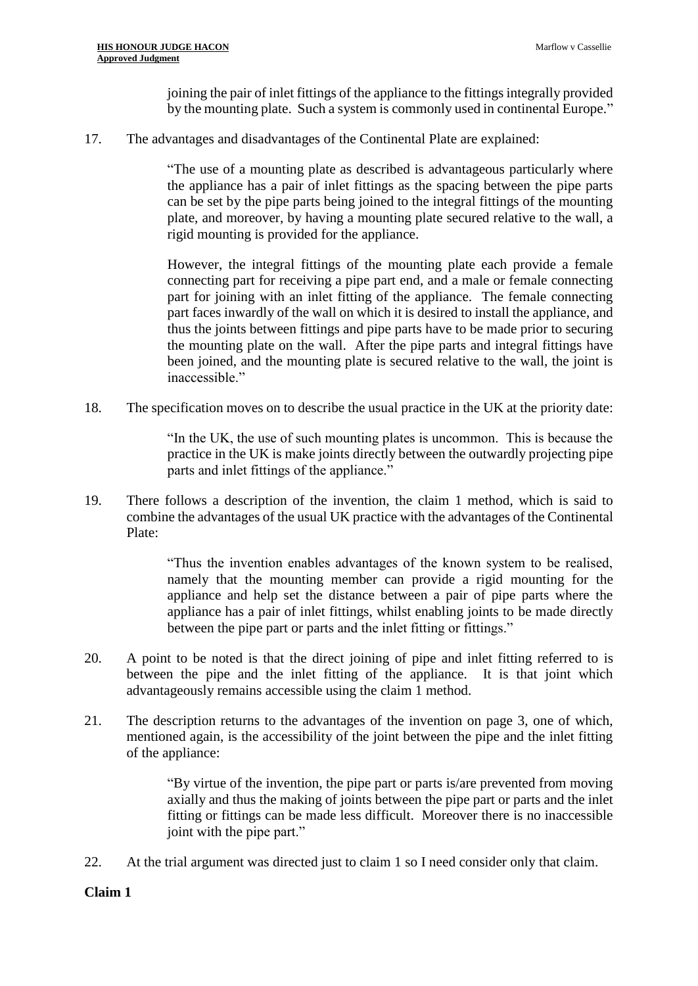joining the pair of inlet fittings of the appliance to the fittings integrally provided by the mounting plate. Such a system is commonly used in continental Europe."

17. The advantages and disadvantages of the Continental Plate are explained:

"The use of a mounting plate as described is advantageous particularly where the appliance has a pair of inlet fittings as the spacing between the pipe parts can be set by the pipe parts being joined to the integral fittings of the mounting plate, and moreover, by having a mounting plate secured relative to the wall, a rigid mounting is provided for the appliance.

However, the integral fittings of the mounting plate each provide a female connecting part for receiving a pipe part end, and a male or female connecting part for joining with an inlet fitting of the appliance. The female connecting part faces inwardly of the wall on which it is desired to install the appliance, and thus the joints between fittings and pipe parts have to be made prior to securing the mounting plate on the wall. After the pipe parts and integral fittings have been joined, and the mounting plate is secured relative to the wall, the joint is inaccessible."

18. The specification moves on to describe the usual practice in the UK at the priority date:

"In the UK, the use of such mounting plates is uncommon. This is because the practice in the UK is make joints directly between the outwardly projecting pipe parts and inlet fittings of the appliance."

19. There follows a description of the invention, the claim 1 method, which is said to combine the advantages of the usual UK practice with the advantages of the Continental Plate:

> "Thus the invention enables advantages of the known system to be realised, namely that the mounting member can provide a rigid mounting for the appliance and help set the distance between a pair of pipe parts where the appliance has a pair of inlet fittings, whilst enabling joints to be made directly between the pipe part or parts and the inlet fitting or fittings."

- 20. A point to be noted is that the direct joining of pipe and inlet fitting referred to is between the pipe and the inlet fitting of the appliance. It is that joint which advantageously remains accessible using the claim 1 method.
- 21. The description returns to the advantages of the invention on page 3, one of which, mentioned again, is the accessibility of the joint between the pipe and the inlet fitting of the appliance:

"By virtue of the invention, the pipe part or parts is/are prevented from moving axially and thus the making of joints between the pipe part or parts and the inlet fitting or fittings can be made less difficult. Moreover there is no inaccessible joint with the pipe part."

22. At the trial argument was directed just to claim 1 so I need consider only that claim.

# **Claim 1**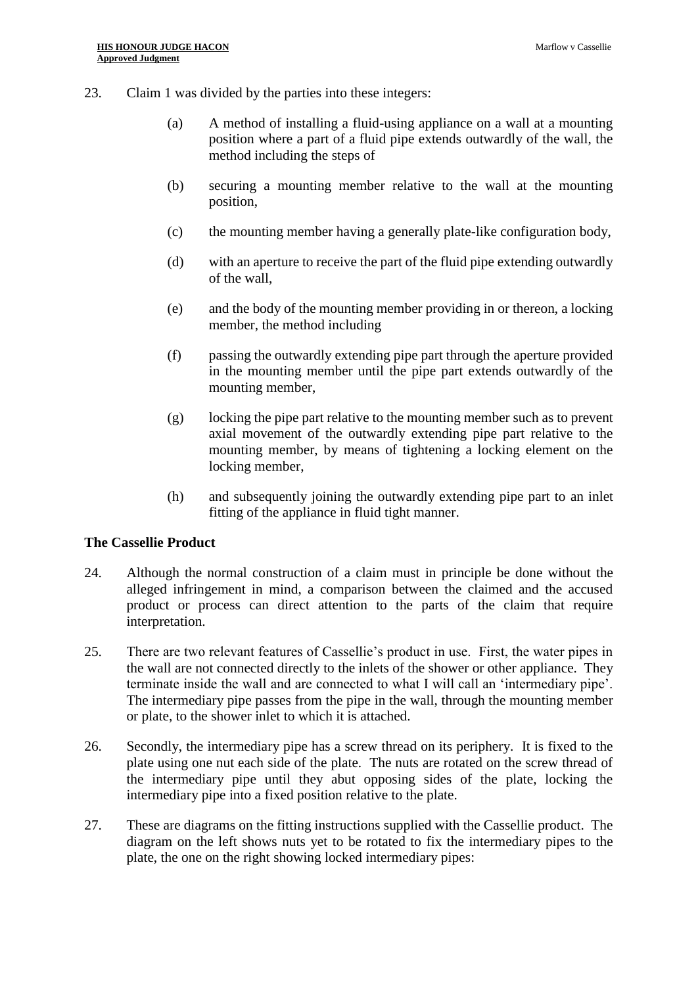- 23. Claim 1 was divided by the parties into these integers:
	- (a) A method of installing a fluid-using appliance on a wall at a mounting position where a part of a fluid pipe extends outwardly of the wall, the method including the steps of
	- (b) securing a mounting member relative to the wall at the mounting position,
	- (c) the mounting member having a generally plate-like configuration body,
	- (d) with an aperture to receive the part of the fluid pipe extending outwardly of the wall,
	- (e) and the body of the mounting member providing in or thereon, a locking member, the method including
	- (f) passing the outwardly extending pipe part through the aperture provided in the mounting member until the pipe part extends outwardly of the mounting member,
	- (g) locking the pipe part relative to the mounting member such as to prevent axial movement of the outwardly extending pipe part relative to the mounting member, by means of tightening a locking element on the locking member,
	- (h) and subsequently joining the outwardly extending pipe part to an inlet fitting of the appliance in fluid tight manner.

#### **The Cassellie Product**

- 24. Although the normal construction of a claim must in principle be done without the alleged infringement in mind, a comparison between the claimed and the accused product or process can direct attention to the parts of the claim that require interpretation.
- 25. There are two relevant features of Cassellie's product in use. First, the water pipes in the wall are not connected directly to the inlets of the shower or other appliance. They terminate inside the wall and are connected to what I will call an 'intermediary pipe'. The intermediary pipe passes from the pipe in the wall, through the mounting member or plate, to the shower inlet to which it is attached.
- 26. Secondly, the intermediary pipe has a screw thread on its periphery. It is fixed to the plate using one nut each side of the plate. The nuts are rotated on the screw thread of the intermediary pipe until they abut opposing sides of the plate, locking the intermediary pipe into a fixed position relative to the plate.
- 27. These are diagrams on the fitting instructions supplied with the Cassellie product. The diagram on the left shows nuts yet to be rotated to fix the intermediary pipes to the plate, the one on the right showing locked intermediary pipes: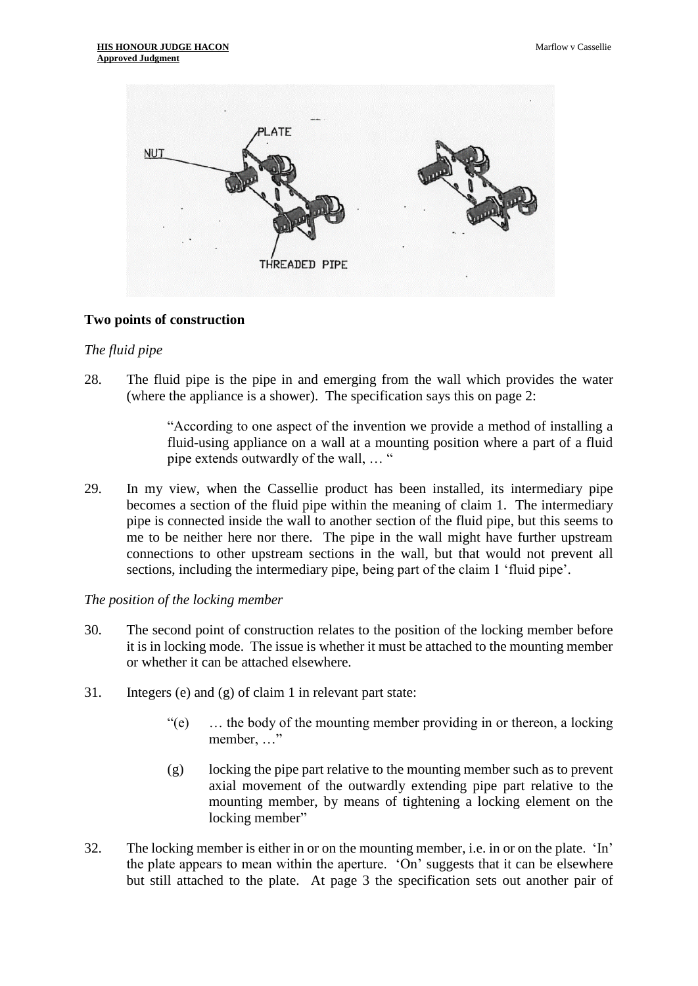

#### **Two points of construction**

#### *The fluid pipe*

28. The fluid pipe is the pipe in and emerging from the wall which provides the water (where the appliance is a shower). The specification says this on page 2:

> "According to one aspect of the invention we provide a method of installing a fluid-using appliance on a wall at a mounting position where a part of a fluid pipe extends outwardly of the wall, … "

29. In my view, when the Cassellie product has been installed, its intermediary pipe becomes a section of the fluid pipe within the meaning of claim 1. The intermediary pipe is connected inside the wall to another section of the fluid pipe, but this seems to me to be neither here nor there. The pipe in the wall might have further upstream connections to other upstream sections in the wall, but that would not prevent all sections, including the intermediary pipe, being part of the claim 1 'fluid pipe'.

#### *The position of the locking member*

- 30. The second point of construction relates to the position of the locking member before it is in locking mode. The issue is whether it must be attached to the mounting member or whether it can be attached elsewhere.
- 31. Integers (e) and (g) of claim 1 in relevant part state:
	- "(e) … the body of the mounting member providing in or thereon, a locking member, …"
	- (g) locking the pipe part relative to the mounting member such as to prevent axial movement of the outwardly extending pipe part relative to the mounting member, by means of tightening a locking element on the locking member"
- 32. The locking member is either in or on the mounting member, i.e. in or on the plate. 'In' the plate appears to mean within the aperture. 'On' suggests that it can be elsewhere but still attached to the plate. At page 3 the specification sets out another pair of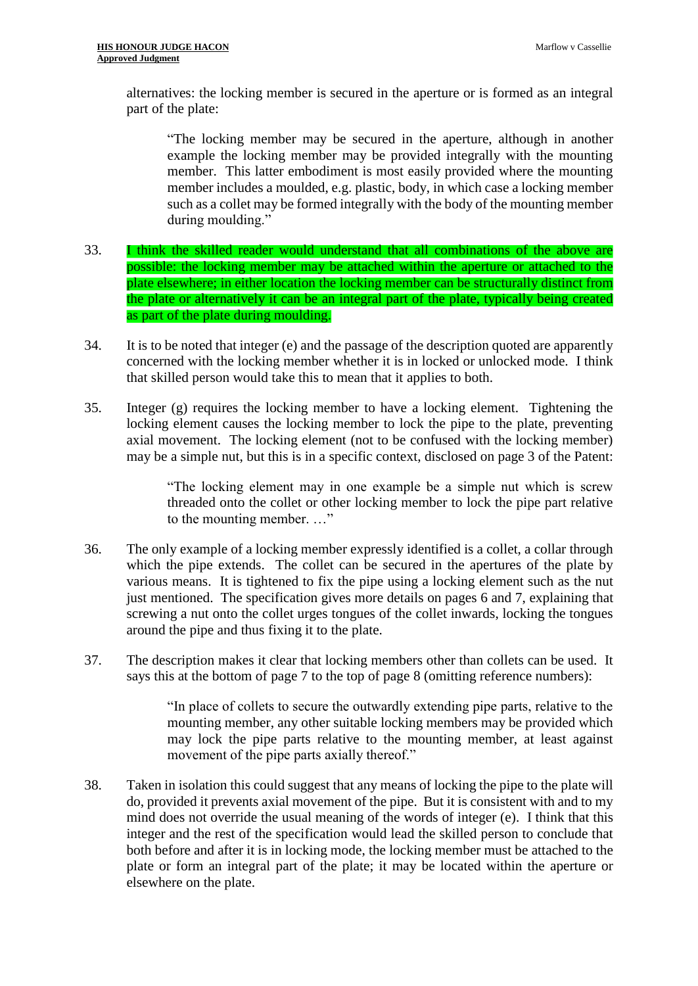alternatives: the locking member is secured in the aperture or is formed as an integral part of the plate:

"The locking member may be secured in the aperture, although in another example the locking member may be provided integrally with the mounting member. This latter embodiment is most easily provided where the mounting member includes a moulded, e.g. plastic, body, in which case a locking member such as a collet may be formed integrally with the body of the mounting member during moulding."

- 33. I think the skilled reader would understand that all combinations of the above are possible: the locking member may be attached within the aperture or attached to the plate elsewhere; in either location the locking member can be structurally distinct from the plate or alternatively it can be an integral part of the plate, typically being created as part of the plate during moulding.
- 34. It is to be noted that integer (e) and the passage of the description quoted are apparently concerned with the locking member whether it is in locked or unlocked mode. I think that skilled person would take this to mean that it applies to both.
- 35. Integer (g) requires the locking member to have a locking element. Tightening the locking element causes the locking member to lock the pipe to the plate, preventing axial movement. The locking element (not to be confused with the locking member) may be a simple nut, but this is in a specific context, disclosed on page 3 of the Patent:

"The locking element may in one example be a simple nut which is screw threaded onto the collet or other locking member to lock the pipe part relative to the mounting member. …"

- 36. The only example of a locking member expressly identified is a collet, a collar through which the pipe extends. The collet can be secured in the apertures of the plate by various means. It is tightened to fix the pipe using a locking element such as the nut just mentioned. The specification gives more details on pages 6 and 7, explaining that screwing a nut onto the collet urges tongues of the collet inwards, locking the tongues around the pipe and thus fixing it to the plate.
- 37. The description makes it clear that locking members other than collets can be used. It says this at the bottom of page 7 to the top of page 8 (omitting reference numbers):

"In place of collets to secure the outwardly extending pipe parts, relative to the mounting member, any other suitable locking members may be provided which may lock the pipe parts relative to the mounting member, at least against movement of the pipe parts axially thereof."

38. Taken in isolation this could suggest that any means of locking the pipe to the plate will do, provided it prevents axial movement of the pipe. But it is consistent with and to my mind does not override the usual meaning of the words of integer (e). I think that this integer and the rest of the specification would lead the skilled person to conclude that both before and after it is in locking mode, the locking member must be attached to the plate or form an integral part of the plate; it may be located within the aperture or elsewhere on the plate.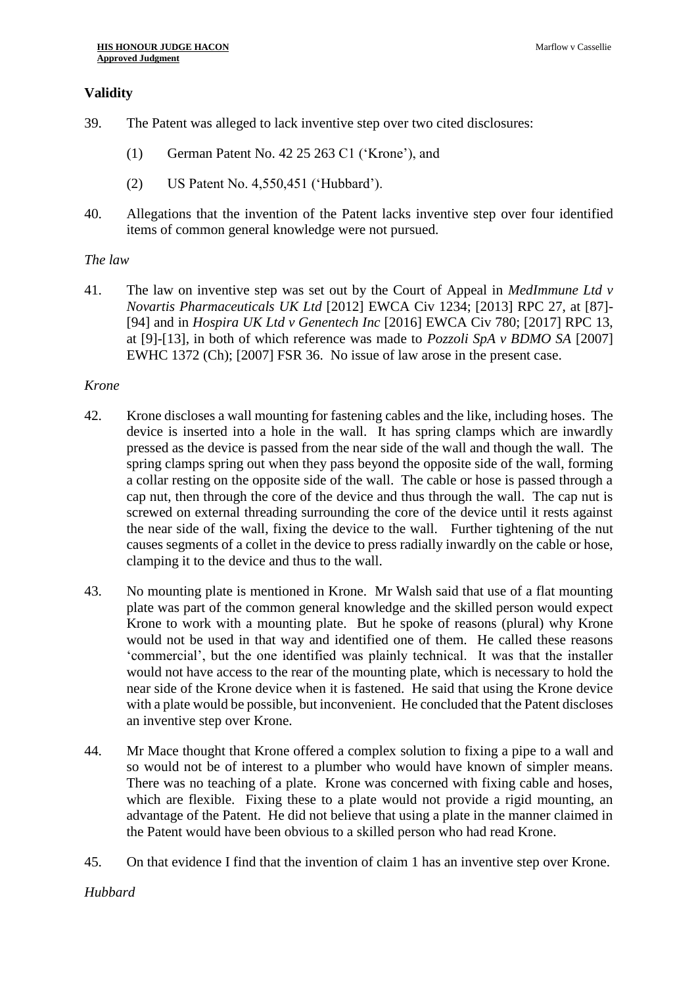# **Validity**

- 39. The Patent was alleged to lack inventive step over two cited disclosures:
	- (1) German Patent No. 42 25 263 C1 ('Krone'), and
	- (2) US Patent No. 4,550,451 ('Hubbard').
- 40. Allegations that the invention of the Patent lacks inventive step over four identified items of common general knowledge were not pursued.

# *The law*

41. The law on inventive step was set out by the Court of Appeal in *MedImmune Ltd v Novartis Pharmaceuticals UK Ltd* [2012] EWCA Civ 1234; [2013] RPC 27, at [87]- [94] and in *Hospira UK Ltd v Genentech Inc* [2016] EWCA Civ 780; [2017] RPC 13, at [9]-[13], in both of which reference was made to *Pozzoli SpA v BDMO SA* [2007] EWHC 1372 (Ch); [2007] FSR 36. No issue of law arose in the present case.

# *Krone*

- 42. Krone discloses a wall mounting for fastening cables and the like, including hoses. The device is inserted into a hole in the wall. It has spring clamps which are inwardly pressed as the device is passed from the near side of the wall and though the wall. The spring clamps spring out when they pass beyond the opposite side of the wall, forming a collar resting on the opposite side of the wall. The cable or hose is passed through a cap nut, then through the core of the device and thus through the wall. The cap nut is screwed on external threading surrounding the core of the device until it rests against the near side of the wall, fixing the device to the wall. Further tightening of the nut causes segments of a collet in the device to press radially inwardly on the cable or hose, clamping it to the device and thus to the wall.
- 43. No mounting plate is mentioned in Krone. Mr Walsh said that use of a flat mounting plate was part of the common general knowledge and the skilled person would expect Krone to work with a mounting plate. But he spoke of reasons (plural) why Krone would not be used in that way and identified one of them. He called these reasons 'commercial', but the one identified was plainly technical. It was that the installer would not have access to the rear of the mounting plate, which is necessary to hold the near side of the Krone device when it is fastened. He said that using the Krone device with a plate would be possible, but inconvenient. He concluded that the Patent discloses an inventive step over Krone.
- 44. Mr Mace thought that Krone offered a complex solution to fixing a pipe to a wall and so would not be of interest to a plumber who would have known of simpler means. There was no teaching of a plate. Krone was concerned with fixing cable and hoses, which are flexible. Fixing these to a plate would not provide a rigid mounting, an advantage of the Patent. He did not believe that using a plate in the manner claimed in the Patent would have been obvious to a skilled person who had read Krone.
- 45. On that evidence I find that the invention of claim 1 has an inventive step over Krone.

# *Hubbard*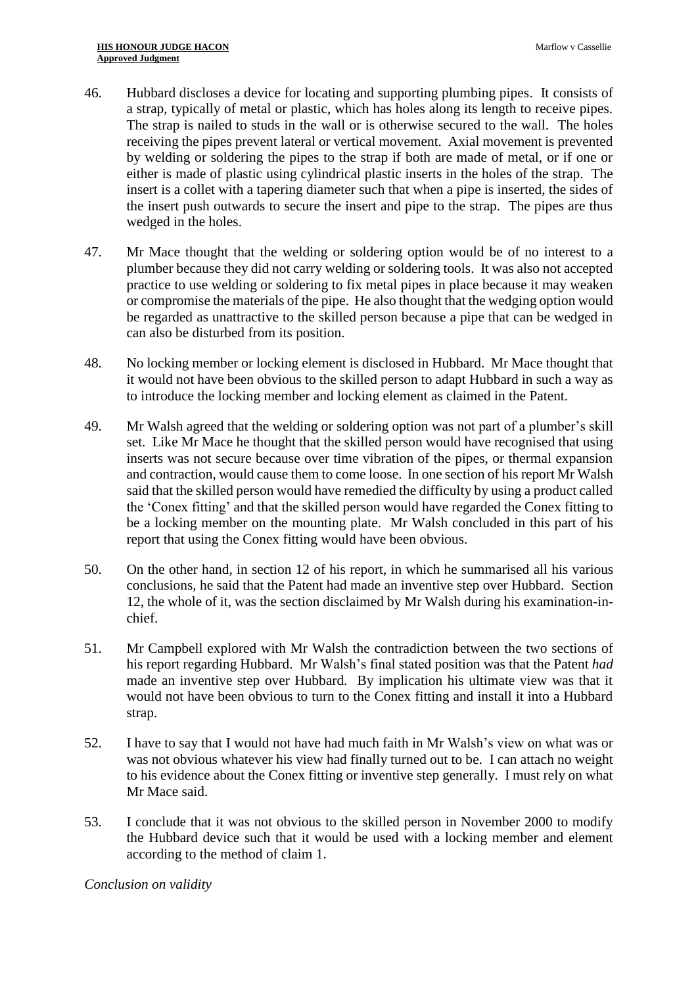- 46. Hubbard discloses a device for locating and supporting plumbing pipes. It consists of a strap, typically of metal or plastic, which has holes along its length to receive pipes. The strap is nailed to studs in the wall or is otherwise secured to the wall. The holes receiving the pipes prevent lateral or vertical movement. Axial movement is prevented by welding or soldering the pipes to the strap if both are made of metal, or if one or either is made of plastic using cylindrical plastic inserts in the holes of the strap. The insert is a collet with a tapering diameter such that when a pipe is inserted, the sides of the insert push outwards to secure the insert and pipe to the strap. The pipes are thus wedged in the holes.
- 47. Mr Mace thought that the welding or soldering option would be of no interest to a plumber because they did not carry welding or soldering tools. It was also not accepted practice to use welding or soldering to fix metal pipes in place because it may weaken or compromise the materials of the pipe. He also thought that the wedging option would be regarded as unattractive to the skilled person because a pipe that can be wedged in can also be disturbed from its position.
- 48. No locking member or locking element is disclosed in Hubbard. Mr Mace thought that it would not have been obvious to the skilled person to adapt Hubbard in such a way as to introduce the locking member and locking element as claimed in the Patent.
- 49. Mr Walsh agreed that the welding or soldering option was not part of a plumber's skill set. Like Mr Mace he thought that the skilled person would have recognised that using inserts was not secure because over time vibration of the pipes, or thermal expansion and contraction, would cause them to come loose. In one section of his report Mr Walsh said that the skilled person would have remedied the difficulty by using a product called the 'Conex fitting' and that the skilled person would have regarded the Conex fitting to be a locking member on the mounting plate. Mr Walsh concluded in this part of his report that using the Conex fitting would have been obvious.
- 50. On the other hand, in section 12 of his report, in which he summarised all his various conclusions, he said that the Patent had made an inventive step over Hubbard. Section 12, the whole of it, was the section disclaimed by Mr Walsh during his examination-inchief.
- 51. Mr Campbell explored with Mr Walsh the contradiction between the two sections of his report regarding Hubbard. Mr Walsh's final stated position was that the Patent *had*  made an inventive step over Hubbard. By implication his ultimate view was that it would not have been obvious to turn to the Conex fitting and install it into a Hubbard strap.
- 52. I have to say that I would not have had much faith in Mr Walsh's view on what was or was not obvious whatever his view had finally turned out to be. I can attach no weight to his evidence about the Conex fitting or inventive step generally. I must rely on what Mr Mace said.
- 53. I conclude that it was not obvious to the skilled person in November 2000 to modify the Hubbard device such that it would be used with a locking member and element according to the method of claim 1.

*Conclusion on validity*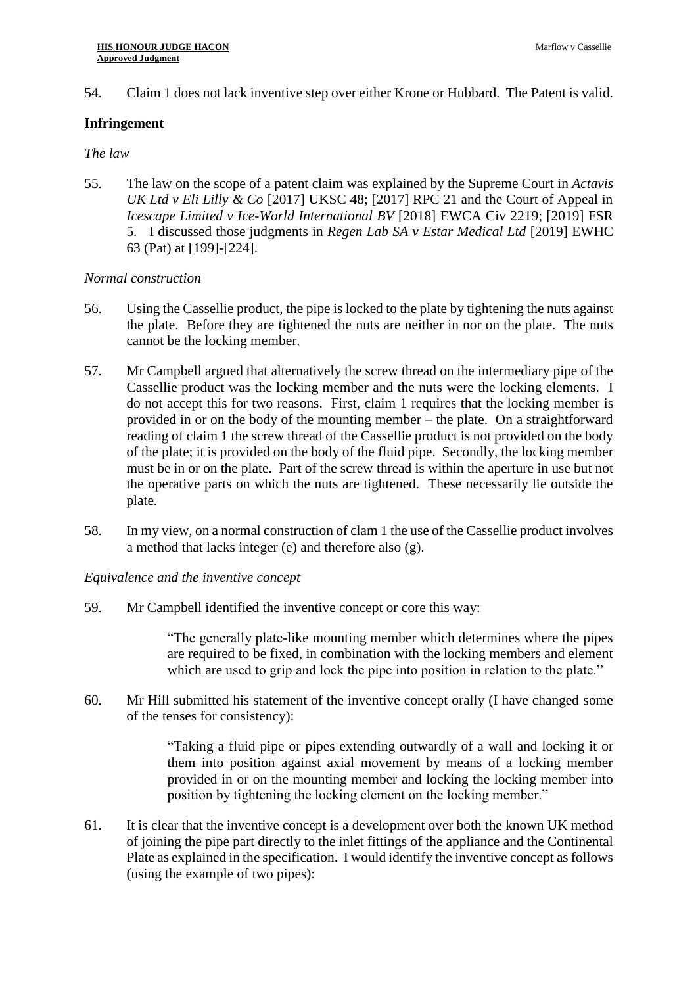# 54. Claim 1 does not lack inventive step over either Krone or Hubbard. The Patent is valid.

# **Infringement**

# *The law*

55. The law on the scope of a patent claim was explained by the Supreme Court in *Actavis UK Ltd v Eli Lilly & Co* [2017] UKSC 48; [2017] RPC 21 and the Court of Appeal in *Icescape Limited v Ice-World International BV* [2018] EWCA Civ 2219; [2019] FSR 5. I discussed those judgments in *Regen Lab SA v Estar Medical Ltd* [2019] EWHC 63 (Pat) at [199]-[224].

# *Normal construction*

- 56. Using the Cassellie product, the pipe is locked to the plate by tightening the nuts against the plate. Before they are tightened the nuts are neither in nor on the plate. The nuts cannot be the locking member.
- 57. Mr Campbell argued that alternatively the screw thread on the intermediary pipe of the Cassellie product was the locking member and the nuts were the locking elements. I do not accept this for two reasons. First, claim 1 requires that the locking member is provided in or on the body of the mounting member – the plate. On a straightforward reading of claim 1 the screw thread of the Cassellie product is not provided on the body of the plate; it is provided on the body of the fluid pipe. Secondly, the locking member must be in or on the plate. Part of the screw thread is within the aperture in use but not the operative parts on which the nuts are tightened. These necessarily lie outside the plate.
- 58. In my view, on a normal construction of clam 1 the use of the Cassellie product involves a method that lacks integer (e) and therefore also (g).

# *Equivalence and the inventive concept*

59. Mr Campbell identified the inventive concept or core this way:

"The generally plate-like mounting member which determines where the pipes are required to be fixed, in combination with the locking members and element which are used to grip and lock the pipe into position in relation to the plate."

60. Mr Hill submitted his statement of the inventive concept orally (I have changed some of the tenses for consistency):

> "Taking a fluid pipe or pipes extending outwardly of a wall and locking it or them into position against axial movement by means of a locking member provided in or on the mounting member and locking the locking member into position by tightening the locking element on the locking member."

61. It is clear that the inventive concept is a development over both the known UK method of joining the pipe part directly to the inlet fittings of the appliance and the Continental Plate as explained in the specification. I would identify the inventive concept as follows (using the example of two pipes):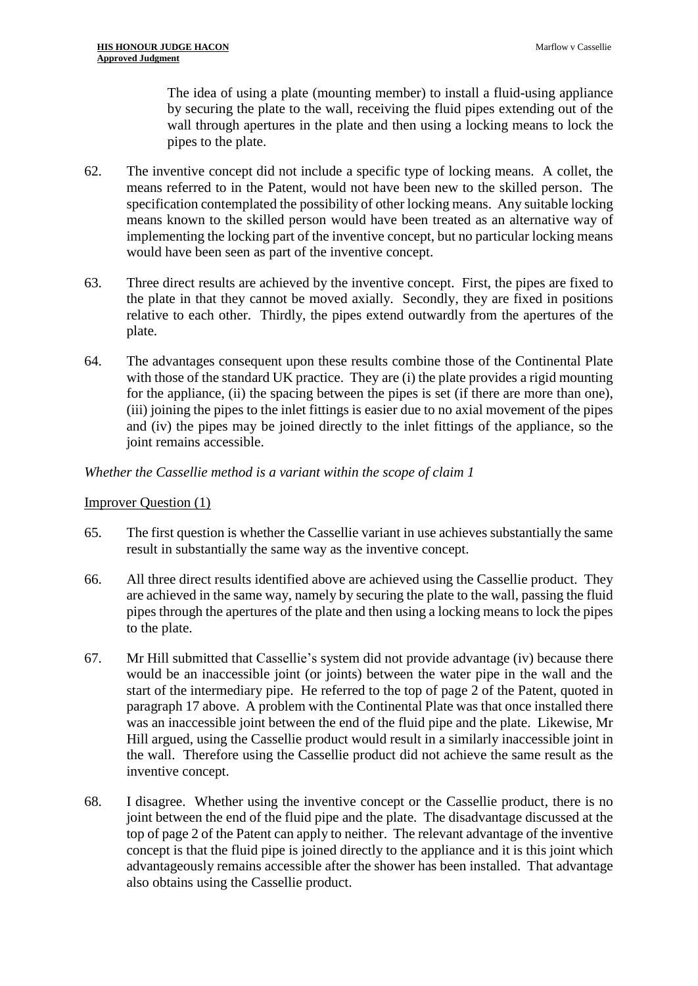The idea of using a plate (mounting member) to install a fluid-using appliance by securing the plate to the wall, receiving the fluid pipes extending out of the wall through apertures in the plate and then using a locking means to lock the pipes to the plate.

- 62. The inventive concept did not include a specific type of locking means. A collet, the means referred to in the Patent, would not have been new to the skilled person. The specification contemplated the possibility of other locking means. Any suitable locking means known to the skilled person would have been treated as an alternative way of implementing the locking part of the inventive concept, but no particular locking means would have been seen as part of the inventive concept.
- 63. Three direct results are achieved by the inventive concept. First, the pipes are fixed to the plate in that they cannot be moved axially. Secondly, they are fixed in positions relative to each other. Thirdly, the pipes extend outwardly from the apertures of the plate.
- 64. The advantages consequent upon these results combine those of the Continental Plate with those of the standard UK practice. They are (i) the plate provides a rigid mounting for the appliance, (ii) the spacing between the pipes is set (if there are more than one), (iii) joining the pipes to the inlet fittings is easier due to no axial movement of the pipes and (iv) the pipes may be joined directly to the inlet fittings of the appliance, so the joint remains accessible.

# *Whether the Cassellie method is a variant within the scope of claim 1*

#### Improver Question (1)

- 65. The first question is whether the Cassellie variant in use achieves substantially the same result in substantially the same way as the inventive concept.
- 66. All three direct results identified above are achieved using the Cassellie product. They are achieved in the same way, namely by securing the plate to the wall, passing the fluid pipes through the apertures of the plate and then using a locking means to lock the pipes to the plate.
- 67. Mr Hill submitted that Cassellie's system did not provide advantage (iv) because there would be an inaccessible joint (or joints) between the water pipe in the wall and the start of the intermediary pipe. He referred to the top of page 2 of the Patent, quoted in paragraph 17 above. A problem with the Continental Plate was that once installed there was an inaccessible joint between the end of the fluid pipe and the plate. Likewise, Mr Hill argued, using the Cassellie product would result in a similarly inaccessible joint in the wall. Therefore using the Cassellie product did not achieve the same result as the inventive concept.
- 68. I disagree. Whether using the inventive concept or the Cassellie product, there is no joint between the end of the fluid pipe and the plate. The disadvantage discussed at the top of page 2 of the Patent can apply to neither. The relevant advantage of the inventive concept is that the fluid pipe is joined directly to the appliance and it is this joint which advantageously remains accessible after the shower has been installed. That advantage also obtains using the Cassellie product.